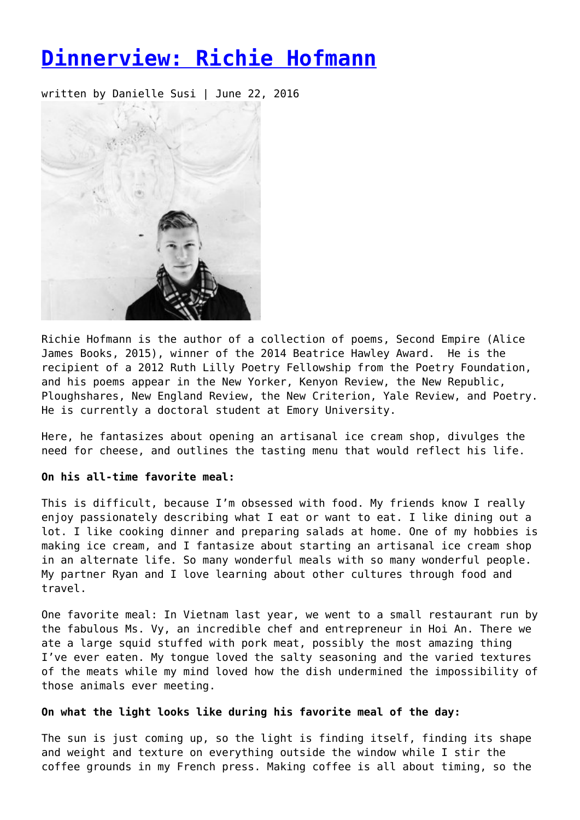# **[Dinnerview: Richie Hofmann](https://entropymag.org/dinnerview-richie-hofmann/)**

written by Danielle Susi | June 22, 2016



Richie Hofmann is the author of a collection of poems, Second Empire (Alice James Books, 2015), winner of the 2014 Beatrice Hawley Award. He is the recipient of a 2012 Ruth Lilly Poetry Fellowship from the Poetry Foundation, and his poems appear in the New Yorker, Kenyon Review, the New Republic, Ploughshares, New England Review, the New Criterion, Yale Review, and Poetry. He is currently a doctoral student at Emory University.

Here, he fantasizes about opening an artisanal ice cream shop, divulges the need for cheese, and outlines the tasting menu that would reflect his life.

### **On his all-time favorite meal:**

This is difficult, because I'm obsessed with food. My friends know I really enjoy passionately describing what I eat or want to eat. I like dining out a lot. I like cooking dinner and preparing salads at home. One of my hobbies is making ice cream, and I fantasize about starting an artisanal ice cream shop in an alternate life. So many wonderful meals with so many wonderful people. My partner Ryan and I love learning about other cultures through food and travel.

One favorite meal: In Vietnam last year, we went to a small restaurant run by the fabulous Ms. Vy, an incredible chef and entrepreneur in Hoi An. There we ate a large squid stuffed with pork meat, possibly the most amazing thing I've ever eaten. My tongue loved the salty seasoning and the varied textures of the meats while my mind loved how the dish undermined the impossibility of those animals ever meeting.

## **On what the light looks like during his favorite meal of the day:**

The sun is just coming up, so the light is finding itself, finding its shape and weight and texture on everything outside the window while I stir the coffee grounds in my French press. Making coffee is all about timing, so the